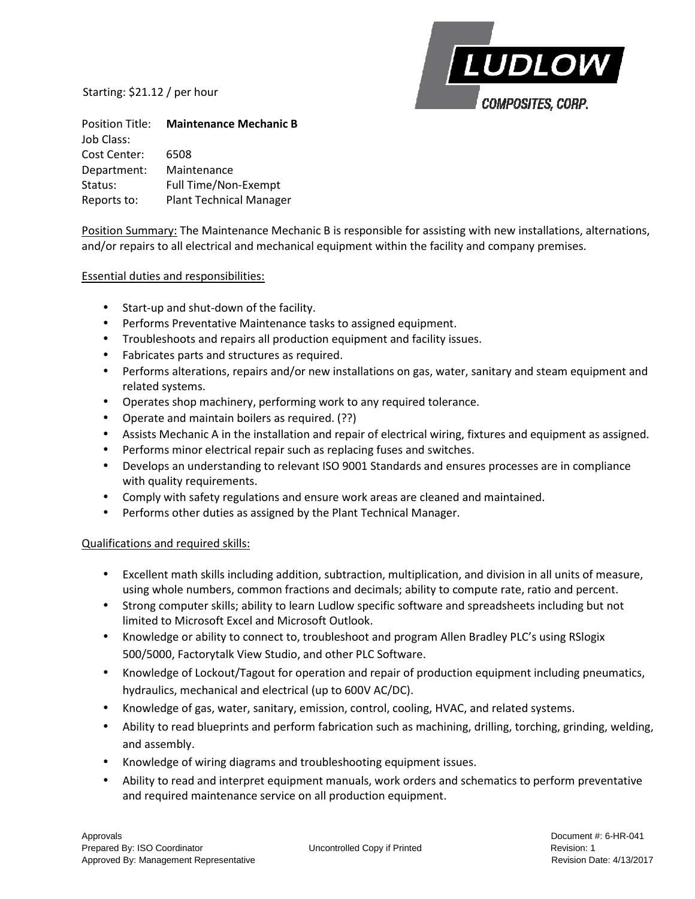Starting: \$21.12 / per hour



Position Title: **Maintenance Mechanic B**  Job Class: Cost Center: 6508 Department: Maintenance Status: Full Time/Non-Exempt Reports to: Plant Technical Manager

Position Summary: The Maintenance Mechanic B is responsible for assisting with new installations, alternations, and/or repairs to all electrical and mechanical equipment within the facility and company premises.

## Essential duties and responsibilities:

- Start-up and shut-down of the facility.
- Performs Preventative Maintenance tasks to assigned equipment.
- Troubleshoots and repairs all production equipment and facility issues.
- Fabricates parts and structures as required.
- Performs alterations, repairs and/or new installations on gas, water, sanitary and steam equipment and related systems.
- Operates shop machinery, performing work to any required tolerance.
- Operate and maintain boilers as required. (??)
- Assists Mechanic A in the installation and repair of electrical wiring, fixtures and equipment as assigned.
- Performs minor electrical repair such as replacing fuses and switches.
- Develops an understanding to relevant ISO 9001 Standards and ensures processes are in compliance with quality requirements.
- Comply with safety regulations and ensure work areas are cleaned and maintained.
- Performs other duties as assigned by the Plant Technical Manager.

## Qualifications and required skills:

- Excellent math skills including addition, subtraction, multiplication, and division in all units of measure, using whole numbers, common fractions and decimals; ability to compute rate, ratio and percent.
- Strong computer skills; ability to learn Ludlow specific software and spreadsheets including but not limited to Microsoft Excel and Microsoft Outlook.
- Knowledge or ability to connect to, troubleshoot and program Allen Bradley PLC's using RSlogix 500/5000, Factorytalk View Studio, and other PLC Software.
- Knowledge of Lockout/Tagout for operation and repair of production equipment including pneumatics, hydraulics, mechanical and electrical (up to 600V AC/DC).
- Knowledge of gas, water, sanitary, emission, control, cooling, HVAC, and related systems.
- Ability to read blueprints and perform fabrication such as machining, drilling, torching, grinding, welding, and assembly.
- Knowledge of wiring diagrams and troubleshooting equipment issues.
- Ability to read and interpret equipment manuals, work orders and schematics to perform preventative and required maintenance service on all production equipment.